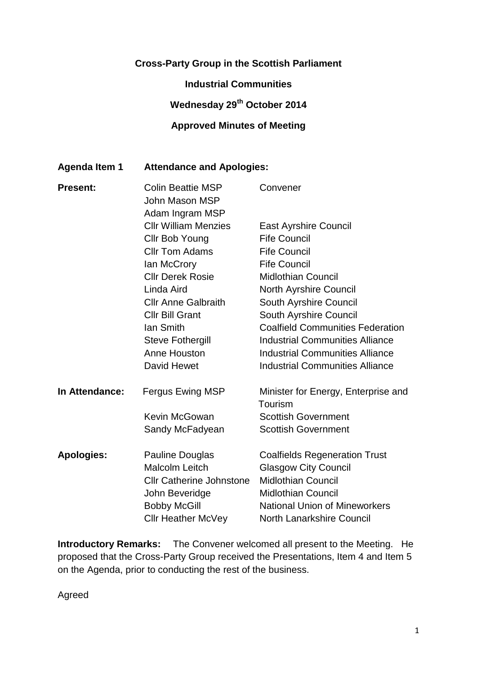### **Cross-Party Group in the Scottish Parliament**

**Industrial Communities**

# **Wednesday 29th October 2014**

#### **Approved Minutes of Meeting**

#### **Agenda Item 1 Attendance and Apologies:**

| <b>Present:</b>   | <b>Colin Beattie MSP</b><br>John Mason MSP<br>Adam Ingram MSP | Convener                                       |
|-------------------|---------------------------------------------------------------|------------------------------------------------|
|                   | <b>Cllr William Menzies</b>                                   | <b>East Ayrshire Council</b>                   |
|                   | Cllr Bob Young                                                | <b>Fife Council</b>                            |
|                   | <b>CIIr Tom Adams</b>                                         | <b>Fife Council</b>                            |
|                   | lan McCrory                                                   | <b>Fife Council</b>                            |
|                   | <b>CIIr Derek Rosie</b>                                       | <b>Midlothian Council</b>                      |
|                   | Linda Aird                                                    | North Ayrshire Council                         |
|                   | <b>Cllr Anne Galbraith</b>                                    | South Ayrshire Council                         |
|                   | <b>Cllr Bill Grant</b>                                        | South Ayrshire Council                         |
|                   | lan Smith                                                     | <b>Coalfield Communities Federation</b>        |
|                   | <b>Steve Fothergill</b>                                       | <b>Industrial Communities Alliance</b>         |
|                   | Anne Houston                                                  | <b>Industrial Communities Alliance</b>         |
|                   | David Hewet                                                   | <b>Industrial Communities Alliance</b>         |
| In Attendance:    | <b>Fergus Ewing MSP</b>                                       | Minister for Energy, Enterprise and<br>Tourism |
|                   | Kevin McGowan                                                 | <b>Scottish Government</b>                     |
|                   | Sandy McFadyean                                               | <b>Scottish Government</b>                     |
| <b>Apologies:</b> | <b>Pauline Douglas</b>                                        | <b>Coalfields Regeneration Trust</b>           |
|                   | <b>Malcolm Leitch</b>                                         | <b>Glasgow City Council</b>                    |
|                   | <b>Cllr Catherine Johnstone</b>                               | <b>Midlothian Council</b>                      |
|                   | John Beveridge                                                | <b>Midlothian Council</b>                      |
|                   | <b>Bobby McGill</b>                                           | <b>National Union of Mineworkers</b>           |
|                   | Cllr Heather McVey                                            | <b>North Lanarkshire Council</b>               |

**Introductory Remarks:** The Convener welcomed all present to the Meeting. He proposed that the Cross-Party Group received the Presentations, Item 4 and Item 5 on the Agenda, prior to conducting the rest of the business.

Agreed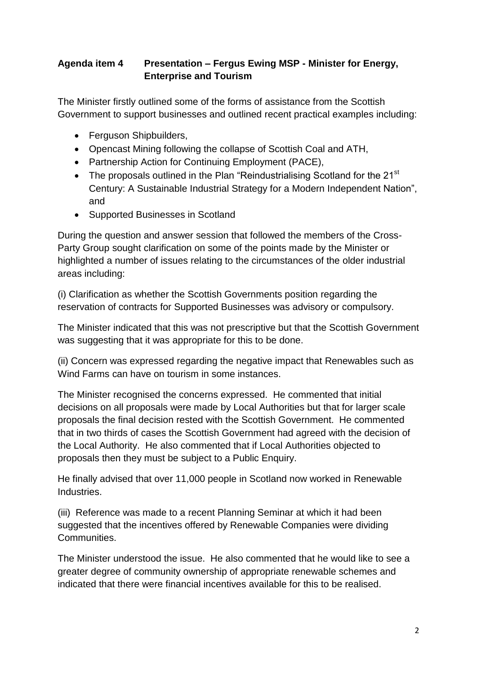### **Agenda item 4 Presentation – Fergus Ewing MSP - Minister for Energy, Enterprise and Tourism**

The Minister firstly outlined some of the forms of assistance from the Scottish Government to support businesses and outlined recent practical examples including:

- Ferguson Shipbuilders,
- Opencast Mining following the collapse of Scottish Coal and ATH,
- Partnership Action for Continuing Employment (PACE),
- The proposals outlined in the Plan "Reindustrialising Scotland for the 21 $^{\rm st}$ Century: A Sustainable Industrial Strategy for a Modern Independent Nation", and
- Supported Businesses in Scotland

During the question and answer session that followed the members of the Cross-Party Group sought clarification on some of the points made by the Minister or highlighted a number of issues relating to the circumstances of the older industrial areas including:

(i) Clarification as whether the Scottish Governments position regarding the reservation of contracts for Supported Businesses was advisory or compulsory.

The Minister indicated that this was not prescriptive but that the Scottish Government was suggesting that it was appropriate for this to be done.

(ii) Concern was expressed regarding the negative impact that Renewables such as Wind Farms can have on tourism in some instances.

The Minister recognised the concerns expressed. He commented that initial decisions on all proposals were made by Local Authorities but that for larger scale proposals the final decision rested with the Scottish Government. He commented that in two thirds of cases the Scottish Government had agreed with the decision of the Local Authority. He also commented that if Local Authorities objected to proposals then they must be subject to a Public Enquiry.

He finally advised that over 11,000 people in Scotland now worked in Renewable Industries.

(iii) Reference was made to a recent Planning Seminar at which it had been suggested that the incentives offered by Renewable Companies were dividing **Communities** 

The Minister understood the issue. He also commented that he would like to see a greater degree of community ownership of appropriate renewable schemes and indicated that there were financial incentives available for this to be realised.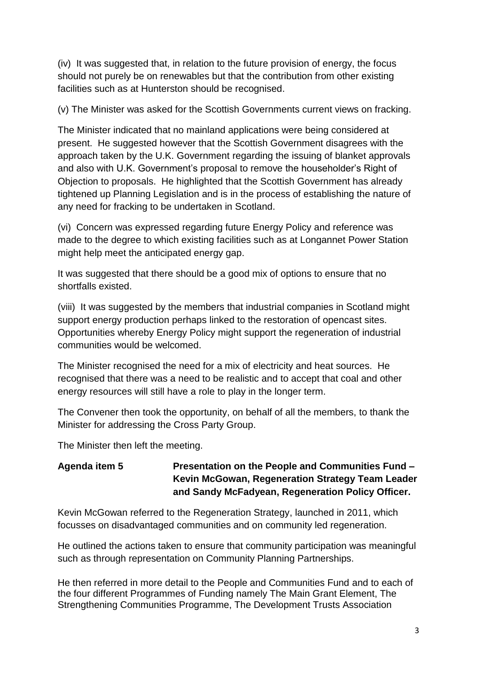(iv) It was suggested that, in relation to the future provision of energy, the focus should not purely be on renewables but that the contribution from other existing facilities such as at Hunterston should be recognised.

(v) The Minister was asked for the Scottish Governments current views on fracking.

The Minister indicated that no mainland applications were being considered at present. He suggested however that the Scottish Government disagrees with the approach taken by the U.K. Government regarding the issuing of blanket approvals and also with U.K. Government's proposal to remove the householder's Right of Objection to proposals. He highlighted that the Scottish Government has already tightened up Planning Legislation and is in the process of establishing the nature of any need for fracking to be undertaken in Scotland.

(vi) Concern was expressed regarding future Energy Policy and reference was made to the degree to which existing facilities such as at Longannet Power Station might help meet the anticipated energy gap.

It was suggested that there should be a good mix of options to ensure that no shortfalls existed.

(viii) It was suggested by the members that industrial companies in Scotland might support energy production perhaps linked to the restoration of opencast sites. Opportunities whereby Energy Policy might support the regeneration of industrial communities would be welcomed.

The Minister recognised the need for a mix of electricity and heat sources. He recognised that there was a need to be realistic and to accept that coal and other energy resources will still have a role to play in the longer term.

The Convener then took the opportunity, on behalf of all the members, to thank the Minister for addressing the Cross Party Group.

The Minister then left the meeting.

**Agenda item 5 Presentation on the People and Communities Fund – Kevin McGowan, Regeneration Strategy Team Leader and Sandy McFadyean, Regeneration Policy Officer.**

Kevin McGowan referred to the Regeneration Strategy, launched in 2011, which focusses on disadvantaged communities and on community led regeneration.

He outlined the actions taken to ensure that community participation was meaningful such as through representation on Community Planning Partnerships.

He then referred in more detail to the People and Communities Fund and to each of the four different Programmes of Funding namely The Main Grant Element, The Strengthening Communities Programme, The Development Trusts Association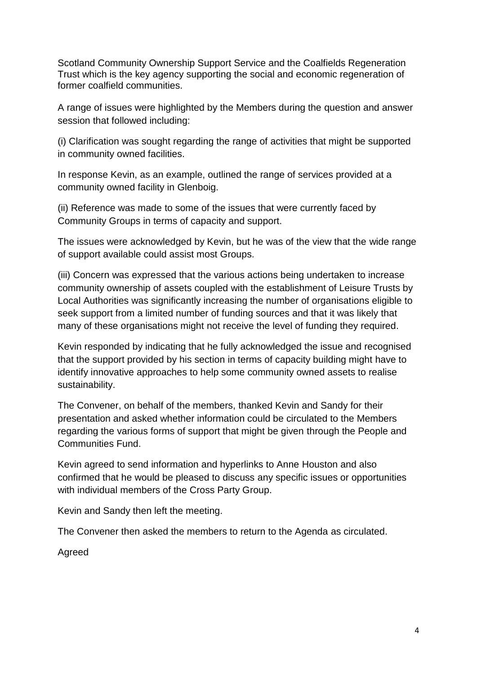Scotland Community Ownership Support Service and the Coalfields Regeneration Trust which is the key agency supporting the social and economic regeneration of former coalfield communities.

A range of issues were highlighted by the Members during the question and answer session that followed including:

(i) Clarification was sought regarding the range of activities that might be supported in community owned facilities.

In response Kevin, as an example, outlined the range of services provided at a community owned facility in Glenboig.

(ii) Reference was made to some of the issues that were currently faced by Community Groups in terms of capacity and support.

The issues were acknowledged by Kevin, but he was of the view that the wide range of support available could assist most Groups.

(iii) Concern was expressed that the various actions being undertaken to increase community ownership of assets coupled with the establishment of Leisure Trusts by Local Authorities was significantly increasing the number of organisations eligible to seek support from a limited number of funding sources and that it was likely that many of these organisations might not receive the level of funding they required.

Kevin responded by indicating that he fully acknowledged the issue and recognised that the support provided by his section in terms of capacity building might have to identify innovative approaches to help some community owned assets to realise sustainability.

The Convener, on behalf of the members, thanked Kevin and Sandy for their presentation and asked whether information could be circulated to the Members regarding the various forms of support that might be given through the People and Communities Fund.

Kevin agreed to send information and hyperlinks to Anne Houston and also confirmed that he would be pleased to discuss any specific issues or opportunities with individual members of the Cross Party Group.

Kevin and Sandy then left the meeting.

The Convener then asked the members to return to the Agenda as circulated.

Agreed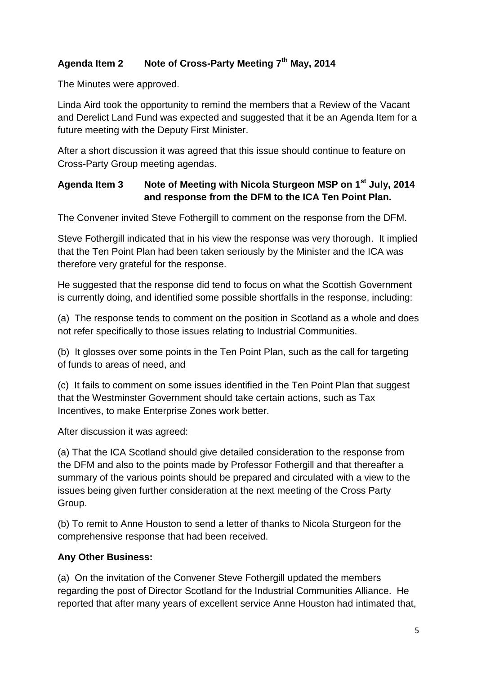## **Agenda Item 2 Note of Cross-Party Meeting 7th May, 2014**

The Minutes were approved.

Linda Aird took the opportunity to remind the members that a Review of the Vacant and Derelict Land Fund was expected and suggested that it be an Agenda Item for a future meeting with the Deputy First Minister.

After a short discussion it was agreed that this issue should continue to feature on Cross-Party Group meeting agendas.

### **Agenda Item 3 Note of Meeting with Nicola Sturgeon MSP on 1st July, 2014 and response from the DFM to the ICA Ten Point Plan.**

The Convener invited Steve Fothergill to comment on the response from the DFM.

Steve Fothergill indicated that in his view the response was very thorough. It implied that the Ten Point Plan had been taken seriously by the Minister and the ICA was therefore very grateful for the response.

He suggested that the response did tend to focus on what the Scottish Government is currently doing, and identified some possible shortfalls in the response, including:

(a) The response tends to comment on the position in Scotland as a whole and does not refer specifically to those issues relating to Industrial Communities.

(b) It glosses over some points in the Ten Point Plan, such as the call for targeting of funds to areas of need, and

(c) It fails to comment on some issues identified in the Ten Point Plan that suggest that the Westminster Government should take certain actions, such as Tax Incentives, to make Enterprise Zones work better.

After discussion it was agreed:

(a) That the ICA Scotland should give detailed consideration to the response from the DFM and also to the points made by Professor Fothergill and that thereafter a summary of the various points should be prepared and circulated with a view to the issues being given further consideration at the next meeting of the Cross Party Group.

(b) To remit to Anne Houston to send a letter of thanks to Nicola Sturgeon for the comprehensive response that had been received.

#### **Any Other Business:**

(a) On the invitation of the Convener Steve Fothergill updated the members regarding the post of Director Scotland for the Industrial Communities Alliance. He reported that after many years of excellent service Anne Houston had intimated that,